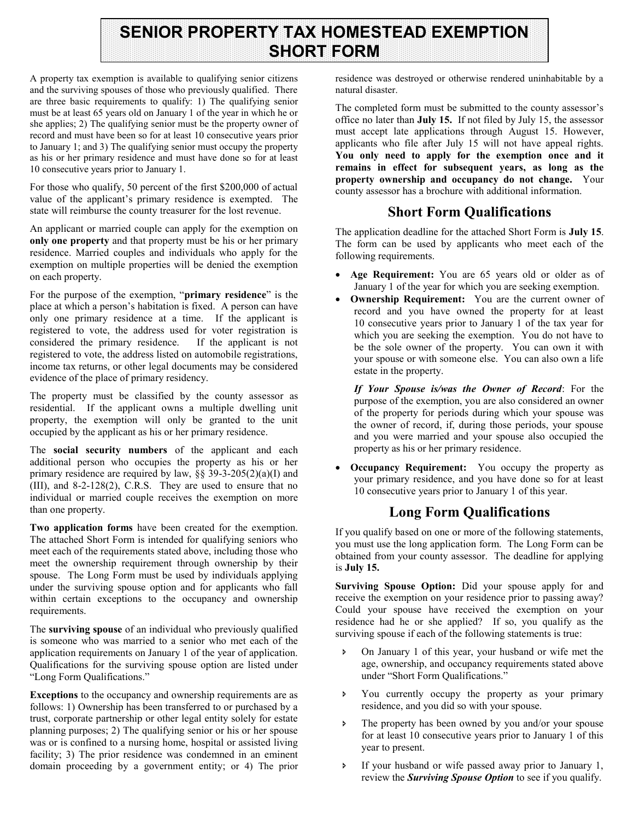# **SENIOR PROPERTY TAX HOMESTEAD EXEMPTION SHORT FORM**

A property tax exemption is available to qualifying senior citizens and the surviving spouses of those who previously qualified. There are three basic requirements to qualify: 1) The qualifying senior must be at least 65 years old on January 1 of the year in which he or she applies; 2) The qualifying senior must be the property owner of record and must have been so for at least 10 consecutive years prior to January 1; and 3) The qualifying senior must occupy the property as his or her primary residence and must have done so for at least 10 consecutive years prior to January 1.

For those who qualify, 50 percent of the first \$200,000 of actual value of the applicant's primary residence is exempted. The state will reimburse the county treasurer for the lost revenue.

An applicant or married couple can apply for the exemption on **only one property** and that property must be his or her primary residence. Married couples and individuals who apply for the exemption on multiple properties will be denied the exemption on each property.

For the purpose of the exemption, "**primary residence**" is the place at which a person's habitation is fixed. A person can have only one primary residence at a time. If the applicant is registered to vote, the address used for voter registration is considered the primary residence. If the applicant is not registered to vote, the address listed on automobile registrations, income tax returns, or other legal documents may be considered evidence of the place of primary residency.

The property must be classified by the county assessor as residential. If the applicant owns a multiple dwelling unit property, the exemption will only be granted to the unit occupied by the applicant as his or her primary residence.

The **social security numbers** of the applicant and each additional person who occupies the property as his or her primary residence are required by law,  $\S$  39-3-205(2)(a)(I) and (III), and 8-2-128(2), C.R.S. They are used to ensure that no individual or married couple receives the exemption on more than one property.

**Two application forms** have been created for the exemption. The attached Short Form is intended for qualifying seniors who meet each of the requirements stated above, including those who meet the ownership requirement through ownership by their spouse. The Long Form must be used by individuals applying under the surviving spouse option and for applicants who fall within certain exceptions to the occupancy and ownership requirements.

The **surviving spouse** of an individual who previously qualified is someone who was married to a senior who met each of the application requirements on January 1 of the year of application. Qualifications for the surviving spouse option are listed under "Long Form Qualifications."

**Exceptions** to the occupancy and ownership requirements are as follows: 1) Ownership has been transferred to or purchased by a trust, corporate partnership or other legal entity solely for estate planning purposes; 2) The qualifying senior or his or her spouse was or is confined to a nursing home, hospital or assisted living facility; 3) The prior residence was condemned in an eminent domain proceeding by a government entity; or 4) The prior

residence was destroyed or otherwise rendered uninhabitable by a natural disaster.

The completed form must be submitted to the county assessor's office no later than **July 15.** If not filed by July 15, the assessor must accept late applications through August 15. However, applicants who file after July 15 will not have appeal rights. **You only need to apply for the exemption once and it remains in effect for subsequent years, as long as the property ownership and occupancy do not change.** Your county assessor has a brochure with additional information.

# **Short Form Qualifications**

The application deadline for the attached Short Form is **July 15**. The form can be used by applicants who meet each of the following requirements.

- **Age Requirement:** You are 65 years old or older as of January 1 of the year for which you are seeking exemption.
- **Ownership Requirement:** You are the current owner of record and you have owned the property for at least 10 consecutive years prior to January 1 of the tax year for which you are seeking the exemption. You do not have to be the sole owner of the property. You can own it with your spouse or with someone else. You can also own a life estate in the property.

*If Your Spouse is/was the Owner of Record*: For the purpose of the exemption, you are also considered an owner of the property for periods during which your spouse was the owner of record, if, during those periods, your spouse and you were married and your spouse also occupied the property as his or her primary residence.

 **Occupancy Requirement:** You occupy the property as your primary residence, and you have done so for at least 10 consecutive years prior to January 1 of this year.

## **Long Form Qualifications**

If you qualify based on one or more of the following statements, you must use the long application form. The Long Form can be obtained from your county assessor. The deadline for applying is **July 15.** 

**Surviving Spouse Option:** Did your spouse apply for and receive the exemption on your residence prior to passing away? Could your spouse have received the exemption on your residence had he or she applied? If so, you qualify as the surviving spouse if each of the following statements is true:

- On January 1 of this year, your husband or wife met the age, ownership, and occupancy requirements stated above under "Short Form Qualifications."
- You currently occupy the property as your primary residence, and you did so with your spouse.
- The property has been owned by you and/or your spouse for at least 10 consecutive years prior to January 1 of this year to present.
- If your husband or wife passed away prior to January 1, review the *Surviving Spouse Option* to see if you qualify.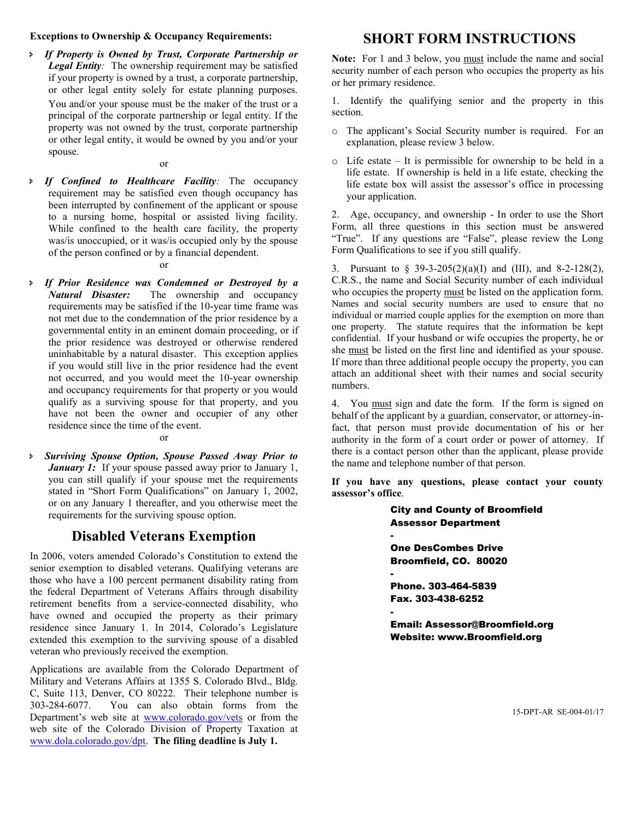### **Exceptions to Ownership & Occupancy Requirements:**

 *If Property is Owned by Trust, Corporate Partnership or Legal Entity:* The ownership requirement may be satisfied if your property is owned by a trust, a corporate partnership, or other legal entity solely for estate planning purposes. You and/or your spouse must be the maker of the trust or a principal of the corporate partnership or legal entity. If the property was not owned by the trust, corporate partnership or other legal entity, it would be owned by you and/or your spouse.

or

 *If Confined to Healthcare Facility:* The occupancy requirement may be satisfied even though occupancy has been interrupted by confinement of the applicant or spouse to a nursing home, hospital or assisted living facility. While confined to the health care facility, the property was/is unoccupied, or it was/is occupied only by the spouse of the person confined or by a financial dependent.

#### or

 *If Prior Residence was Condemned or Destroyed by a Natural Disaster:* The ownership and occupancy requirements may be satisfied if the 10-year time frame was not met due to the condemnation of the prior residence by a governmental entity in an eminent domain proceeding, or if the prior residence was destroyed or otherwise rendered uninhabitable by a natural disaster. This exception applies if you would still live in the prior residence had the event not occurred, and you would meet the 10-year ownership and occupancy requirements for that property or you would qualify as a surviving spouse for that property, and you have not been the owner and occupier of any other residence since the time of the event.

#### or

 *Surviving Spouse Option, Spouse Passed Away Prior to January 1:* If your spouse passed away prior to January 1, you can still qualify if your spouse met the requirements stated in "Short Form Qualifications" on January 1, 2002, or on any January 1 thereafter, and you otherwise meet the requirements for the surviving spouse option.

## **Disabled Veterans Exemption**

In 2006, voters amended Colorado's Constitution to extend the senior exemption to disabled veterans. Qualifying veterans are those who have a 100 percent permanent disability rating from the federal Department of Veterans Affairs through disability retirement benefits from a service-connected disability, who have owned and occupied the property as their primary residence since January 1. In 2014, Colorado's Legislature extended this exemption to the surviving spouse of a disabled veteran who previously received the exemption.

Applications are available from the Colorado Department of Military and Veterans Affairs at 1355 S. Colorado Blvd., Bldg. C, Suite 113, Denver, CO 80222. Their telephone number is 303-284-6077. You can also obtain forms from the Department's web site at [www.colorado.gov/vets](http://www.colorado.gov/vets) or from the web site of the Colorado Division of Property Taxation at [www.dola.colorado.gov/dpt.](http://www.dola.colorado.gov/dpt) **The filing deadline is July 1.**

## **SHORT FORM INSTRUCTIONS**

**Note:** For 1 and 3 below, you must include the name and social security number of each person who occupies the property as his or her primary residence.

1. Identify the qualifying senior and the property in this section.

- o The applicant's Social Security number is required. For an explanation, please review 3 below.
- o Life estate It is permissible for ownership to be held in a life estate. If ownership is held in a life estate, checking the life estate box will assist the assessor's office in processing your application.

2. Age, occupancy, and ownership - In order to use the Short Form, all three questions in this section must be answered "True". If any questions are "False", please review the Long Form Qualifications to see if you still qualify.

3. Pursuant to § 39-3-205(2)(a)(I) and (III), and 8-2-128(2), C.R.S., the name and Social Security number of each individual who occupies the property must be listed on the application form. Names and social security numbers are used to ensure that no individual or married couple applies for the exemption on more than one property. The statute requires that the information be kept confidential. If your husband or wife occupies the property, he or she must be listed on the first line and identified as your spouse. If more than three additional people occupy the property, you can attach an additional sheet with their names and social security numbers.

4. You must sign and date the form. If the form is signed on behalf of the applicant by a guardian, conservator, or attorney-infact, that person must provide documentation of his or her authority in the form of a court order or power of attorney. If there is a contact person other than the applicant, please provide the name and telephone number of that person.

**If you have any questions, please contact your county assessor's office**.

> Broomfield, CO. 80020 City and County of Broomfield Assessor Department - One DesCombes Drive - Phone. 303-464-5839 Fax. 303-438-6252 -

Email: Assessor@Broomfield.org Website: www.Broomfield.org

15-DPT-AR SE-004-01/17